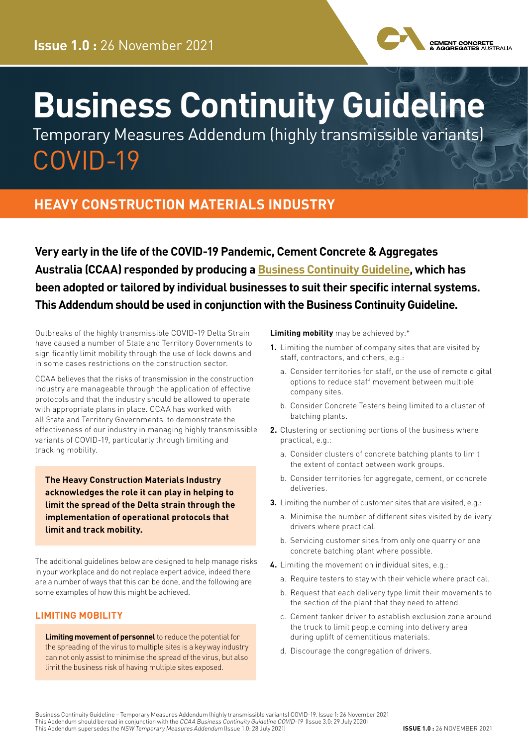

# **Business Continuity Guideline**

Temporary Measures Addendum (highly transmissible variants) COVID-19

### **HEAVY CONSTRUCTION MATERIALS INDUSTRY**

**Very early in the life of the COVID-19 Pandemic, Cement Concrete & Aggregates Australia (CCAA) responded by producing a [Business Continuity Guideline,](https://view.publitas.com/ccaa/ccaa_covid19_riskmanagementprotocols_newsletter_25032020/page/1) which has been adopted or tailored by individual businesses to suit their specific internal systems. This Addendum should be used in conjunction with the Business Continuity Guideline.**

Outbreaks of the highly transmissible COVID-19 Delta Strain have caused a number of State and Territory Governments to significantly limit mobility through the use of lock downs and in some cases restrictions on the construction sector.

CCAA believes that the risks of transmission in the construction industry are manageable through the application of effective protocols and that the industry should be allowed to operate with appropriate plans in place. CCAA has worked with all State and Territory Governments to demonstrate the effectiveness of our industry in managing highly transmissible variants of COVID-19, particularly through limiting and tracking mobility.

**The Heavy Construction Materials Industry acknowledges the role it can play in helping to limit the spread of the Delta strain through the implementation of operational protocols that limit and track mobility.**

The additional guidelines below are designed to help manage risks in your workplace and do not replace expert advice, indeed there are a number of ways that this can be done, and the following are some examples of how this might be achieved.

#### **LIMITING MOBILITY**

**Limiting movement of personnel** to reduce the potential for the spreading of the virus to multiple sites is a key way industry can not only assist to minimise the spread of the virus, but also limit the business risk of having multiple sites exposed.

**Limiting mobility** may be achieved by:\*

- **1.** Limiting the number of company sites that are visited by staff, contractors, and others, e.g.:
	- a. Consider territories for staff, or the use of remote digital options to reduce staff movement between multiple company sites.
	- b. Consider Concrete Testers being limited to a cluster of batching plants.
- **2.** Clustering or sectioning portions of the business where practical, e.g.:
	- a. Consider clusters of concrete batching plants to limit the extent of contact between work groups.
	- b. Consider territories for aggregate, cement, or concrete deliveries.
- **3.** Limiting the number of customer sites that are visited, e.g.:
	- a. Minimise the number of different sites visited by delivery drivers where practical.
	- b. Servicing customer sites from only one quarry or one concrete batching plant where possible.
- **4.** Limiting the movement on individual sites, e.g.:
	- a. Require testers to stay with their vehicle where practical.
	- b. Request that each delivery type limit their movements to the section of the plant that they need to attend.
	- c. Cement tanker driver to establish exclusion zone around the truck to limit people coming into delivery area during uplift of cementitious materials.
	- d. Discourage the congregation of drivers.